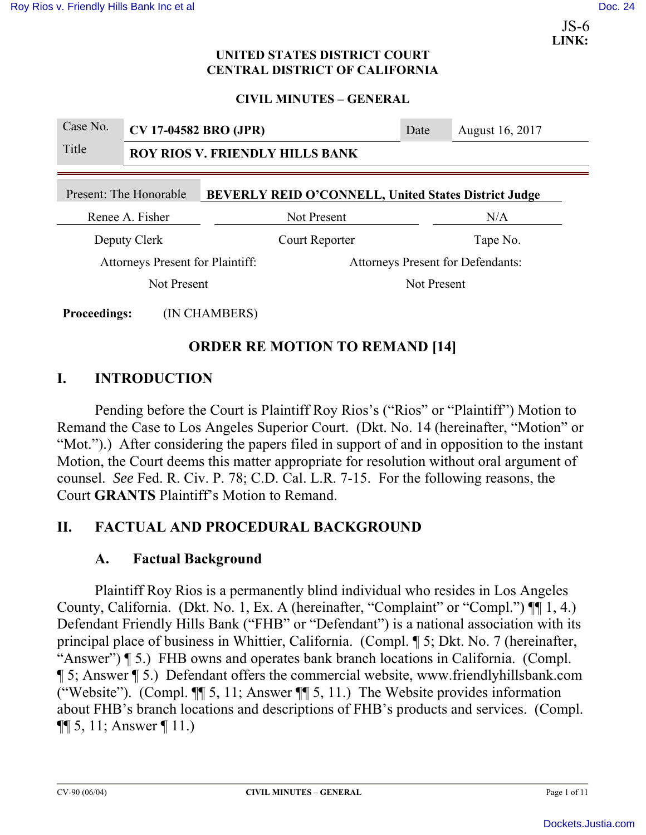**LINK:**  JS-6

### **UNITED STATES DISTRICT COURT CENTRAL DISTRICT OF CALIFORNIA**

### **CIVIL MINUTES – GENERAL**

| Case No.                                                                       | CV 17-04582 BRO (JPR)                  |               |                                          | Date | August 16, 2017 |  |
|--------------------------------------------------------------------------------|----------------------------------------|---------------|------------------------------------------|------|-----------------|--|
| Title                                                                          | <b>ROY RIOS V. FRIENDLY HILLS BANK</b> |               |                                          |      |                 |  |
| BEVERLY REID O'CONNELL, United States District Judge<br>Present: The Honorable |                                        |               |                                          |      |                 |  |
| Renee A. Fisher                                                                |                                        |               | Not Present                              |      | N/A             |  |
| Deputy Clerk                                                                   |                                        |               | Court Reporter                           |      | Tape No.        |  |
| <b>Attorneys Present for Plaintiff:</b>                                        |                                        |               | <b>Attorneys Present for Defendants:</b> |      |                 |  |
| Not Present                                                                    |                                        | Not Present   |                                          |      |                 |  |
| <b>Proceedings:</b>                                                            |                                        | (IN CHAMBERS) |                                          |      |                 |  |

# **ORDER RE MOTION TO REMAND [14]**

# **I. INTRODUCTION**

Pending before the Court is Plaintiff Roy Rios's ("Rios" or "Plaintiff") Motion to Remand the Case to Los Angeles Superior Court. (Dkt. No. 14 (hereinafter, "Motion" or "Mot.").) After considering the papers filed in support of and in opposition to the instant Motion, the Court deems this matter appropriate for resolution without oral argument of counsel. *See* Fed. R. Civ. P. 78; C.D. Cal. L.R. 7-15. For the following reasons, the Court **GRANTS** Plaintiff's Motion to Remand.

# **II. FACTUAL AND PROCEDURAL BACKGROUND**

## **A. Factual Background**

Plaintiff Roy Rios is a permanently blind individual who resides in Los Angeles County, California. (Dkt. No. 1, Ex. A (hereinafter, "Complaint" or "Compl.") ¶¶ 1, 4.) Defendant Friendly Hills Bank ("FHB" or "Defendant") is a national association with its principal place of business in Whittier, California. (Compl. ¶ 5; Dkt. No. 7 (hereinafter, "Answer") **[5.]** FHB owns and operates bank branch locations in California. (Compl. ¶ 5; Answer ¶ 5.) Defendant offers the commercial website, www.friendlyhillsbank.com ("Website"). (Compl. ¶¶ 5, 11; Answer ¶¶ 5, 11.) The Website provides information about FHB's branch locations and descriptions of FHB's products and services. (Compl.  $\P\P$  5, 11; Answer  $\P$  11.)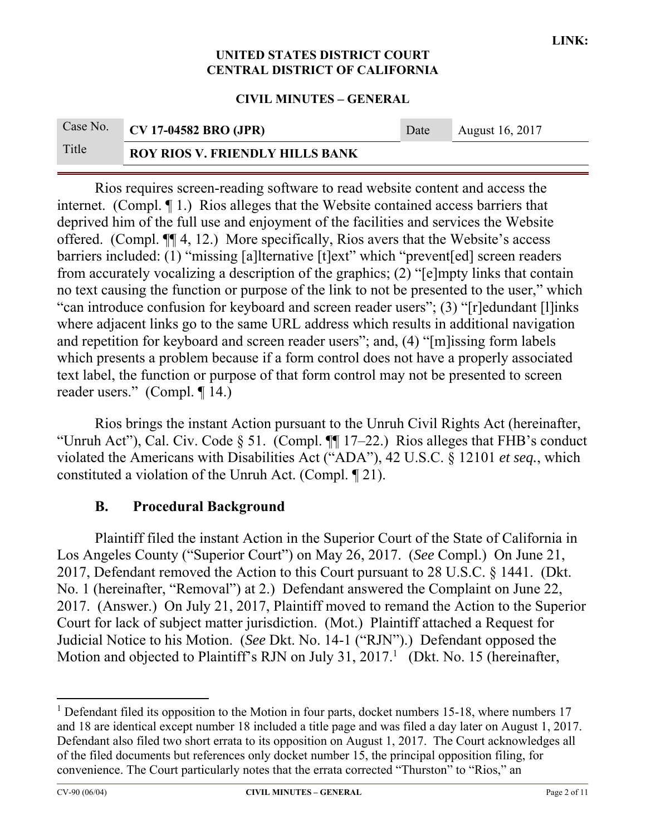#### **CIVIL MINUTES – GENERAL**

|       | Case No. CV 17-04582 BRO (JPR)         | Date | August 16, 2017 |
|-------|----------------------------------------|------|-----------------|
| Title | <b>ROY RIOS V. FRIENDLY HILLS BANK</b> |      |                 |

Rios requires screen-reading software to read website content and access the internet. (Compl. ¶ 1.) Rios alleges that the Website contained access barriers that deprived him of the full use and enjoyment of the facilities and services the Website offered. (Compl. ¶¶ 4, 12.) More specifically, Rios avers that the Website's access barriers included: (1) "missing [a]lternative [t]ext" which "prevent[ed] screen readers from accurately vocalizing a description of the graphics; (2) "[e]mpty links that contain no text causing the function or purpose of the link to not be presented to the user," which "can introduce confusion for keyboard and screen reader users"; (3) "[r]edundant [l]inks where adjacent links go to the same URL address which results in additional navigation and repetition for keyboard and screen reader users"; and, (4) "[m]issing form labels which presents a problem because if a form control does not have a properly associated text label, the function or purpose of that form control may not be presented to screen reader users." (Compl. ¶ 14.)

Rios brings the instant Action pursuant to the Unruh Civil Rights Act (hereinafter, "Unruh Act"), Cal. Civ. Code § 51. (Compl. ¶¶ 17–22.) Rios alleges that FHB's conduct violated the Americans with Disabilities Act ("ADA"), 42 U.S.C. § 12101 *et seq.*, which constituted a violation of the Unruh Act. (Compl. ¶ 21).

### **B. Procedural Background**

Plaintiff filed the instant Action in the Superior Court of the State of California in Los Angeles County ("Superior Court") on May 26, 2017. (*See* Compl.) On June 21, 2017, Defendant removed the Action to this Court pursuant to 28 U.S.C. § 1441. (Dkt. No. 1 (hereinafter, "Removal") at 2.) Defendant answered the Complaint on June 22, 2017. (Answer.) On July 21, 2017, Plaintiff moved to remand the Action to the Superior Court for lack of subject matter jurisdiction. (Mot.) Plaintiff attached a Request for Judicial Notice to his Motion. (*See* Dkt. No. 14-1 ("RJN").) Defendant opposed the Motion and objected to Plaintiff's RJN on July 31,  $2017<sup>1</sup>$  (Dkt. No. 15 (hereinafter,

<sup>&</sup>lt;sup>1</sup> Defendant filed its opposition to the Motion in four parts, docket numbers 15-18, where numbers 17 and 18 are identical except number 18 included a title page and was filed a day later on August 1, 2017. Defendant also filed two short errata to its opposition on August 1, 2017. The Court acknowledges all of the filed documents but references only docket number 15, the principal opposition filing, for convenience. The Court particularly notes that the errata corrected "Thurston" to "Rios," an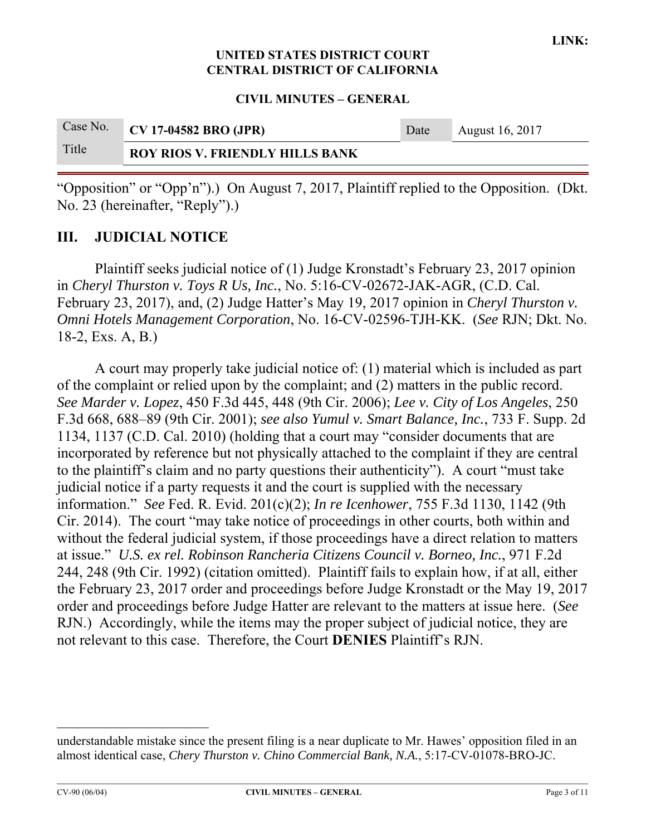**CIVIL MINUTES – GENERAL** 

|       | Case No. CV 17-04582 BRO (JPR)         | Date | August 16, 2017 |
|-------|----------------------------------------|------|-----------------|
| Title | <b>ROY RIOS V. FRIENDLY HILLS BANK</b> |      |                 |

"Opposition" or "Opp'n").) On August 7, 2017, Plaintiff replied to the Opposition. (Dkt. No. 23 (hereinafter, "Reply").)

## **III. JUDICIAL NOTICE**

 Plaintiff seeks judicial notice of (1) Judge Kronstadt's February 23, 2017 opinion in *Cheryl Thurston v. Toys R Us, Inc.*, No. 5:16-CV-02672-JAK-AGR, (C.D. Cal. February 23, 2017), and, (2) Judge Hatter's May 19, 2017 opinion in *Cheryl Thurston v. Omni Hotels Management Corporation*, No. 16-CV-02596-TJH-KK. (*See* RJN; Dkt. No. 18-2, Exs. A, B.)

A court may properly take judicial notice of: (1) material which is included as part of the complaint or relied upon by the complaint; and (2) matters in the public record. *See Marder v. Lopez*, 450 F.3d 445, 448 (9th Cir. 2006); *Lee v. City of Los Angeles*, 250 F.3d 668, 688–89 (9th Cir. 2001); *see also Yumul v. Smart Balance, Inc.*, 733 F. Supp. 2d 1134, 1137 (C.D. Cal. 2010) (holding that a court may "consider documents that are incorporated by reference but not physically attached to the complaint if they are central to the plaintiff's claim and no party questions their authenticity"). A court "must take judicial notice if a party requests it and the court is supplied with the necessary information." *See* Fed. R. Evid. 201(c)(2); *In re Icenhower*, 755 F.3d 1130, 1142 (9th Cir. 2014). The court "may take notice of proceedings in other courts, both within and without the federal judicial system, if those proceedings have a direct relation to matters at issue." *U.S. ex rel. Robinson Rancheria Citizens Council v. Borneo, Inc.*, 971 F.2d 244, 248 (9th Cir. 1992) (citation omitted). Plaintiff fails to explain how, if at all, either the February 23, 2017 order and proceedings before Judge Kronstadt or the May 19, 2017 order and proceedings before Judge Hatter are relevant to the matters at issue here. (*See* RJN.) Accordingly, while the items may the proper subject of judicial notice, they are not relevant to this case. Therefore, the Court **DENIES** Plaintiff's RJN.

understandable mistake since the present filing is a near duplicate to Mr. Hawes' opposition filed in an almost identical case, *Chery Thurston v. Chino Commercial Bank, N.A.*, 5:17-CV-01078-BRO-JC.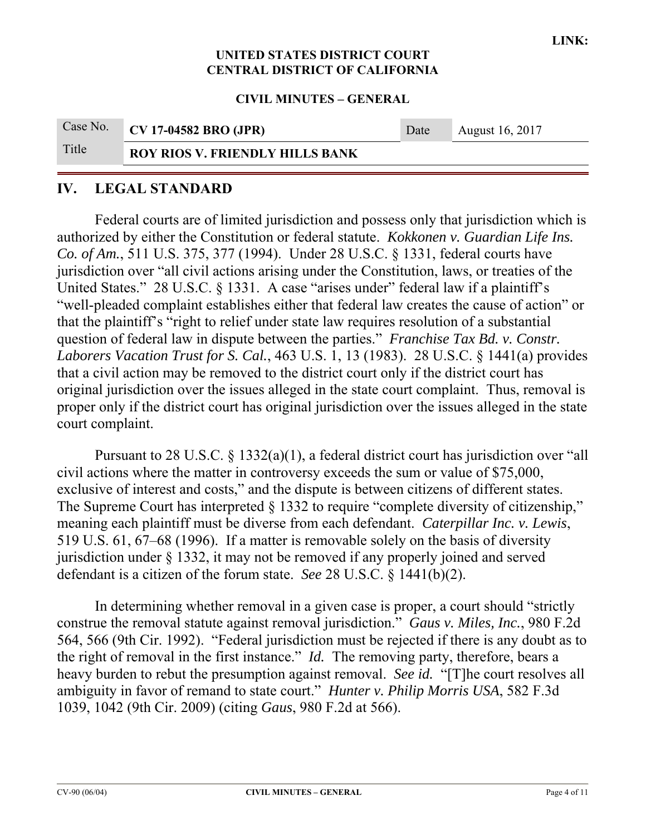#### **CIVIL MINUTES – GENERAL**

|       | Case No. CV 17-04582 BRO (JPR)         | Date | August 16, 2017 |
|-------|----------------------------------------|------|-----------------|
| Title | <b>ROY RIOS V. FRIENDLY HILLS BANK</b> |      |                 |

### **IV. LEGAL STANDARD**

Federal courts are of limited jurisdiction and possess only that jurisdiction which is authorized by either the Constitution or federal statute. *Kokkonen v. Guardian Life Ins. Co. of Am.*, 511 U.S. 375, 377 (1994). Under 28 U.S.C. § 1331, federal courts have jurisdiction over "all civil actions arising under the Constitution, laws, or treaties of the United States." 28 U.S.C. § 1331. A case "arises under" federal law if a plaintiff's "well-pleaded complaint establishes either that federal law creates the cause of action" or that the plaintiff's "right to relief under state law requires resolution of a substantial question of federal law in dispute between the parties." *Franchise Tax Bd. v. Constr. Laborers Vacation Trust for S. Cal.*, 463 U.S. 1, 13 (1983). 28 U.S.C. § 1441(a) provides that a civil action may be removed to the district court only if the district court has original jurisdiction over the issues alleged in the state court complaint. Thus, removal is proper only if the district court has original jurisdiction over the issues alleged in the state court complaint.

Pursuant to 28 U.S.C. § 1332(a)(1), a federal district court has jurisdiction over "all civil actions where the matter in controversy exceeds the sum or value of \$75,000, exclusive of interest and costs," and the dispute is between citizens of different states. The Supreme Court has interpreted § 1332 to require "complete diversity of citizenship," meaning each plaintiff must be diverse from each defendant. *Caterpillar Inc. v. Lewis*, 519 U.S. 61, 67–68 (1996). If a matter is removable solely on the basis of diversity jurisdiction under § 1332, it may not be removed if any properly joined and served defendant is a citizen of the forum state. *See* 28 U.S.C. § 1441(b)(2).

In determining whether removal in a given case is proper, a court should "strictly construe the removal statute against removal jurisdiction." *Gaus v. Miles, Inc.*, 980 F.2d 564, 566 (9th Cir. 1992). "Federal jurisdiction must be rejected if there is any doubt as to the right of removal in the first instance." *Id.* The removing party, therefore, bears a heavy burden to rebut the presumption against removal. *See id.* "[T]he court resolves all ambiguity in favor of remand to state court." *Hunter v. Philip Morris USA*, 582 F.3d 1039, 1042 (9th Cir. 2009) (citing *Gaus*, 980 F.2d at 566).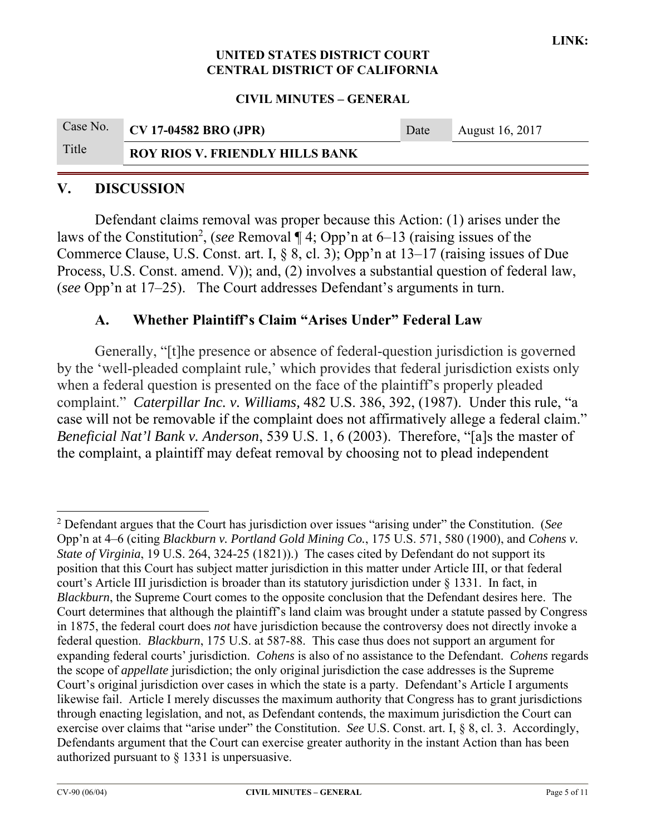### **CIVIL MINUTES – GENERAL**

|       | Case No. CV 17-04582 BRO (JPR)         | Date | August 16, 2017 |
|-------|----------------------------------------|------|-----------------|
| Title | <b>ROY RIOS V. FRIENDLY HILLS BANK</b> |      |                 |

## **V. DISCUSSION**

Defendant claims removal was proper because this Action: (1) arises under the laws of the Constitution<sup>2</sup>, (*see* Removal  $\P$  4; Opp'n at 6–13 (raising issues of the Commerce Clause, U.S. Const. art. I, § 8, cl. 3); Opp'n at 13–17 (raising issues of Due Process, U.S. Const. amend. V)); and, (2) involves a substantial question of federal law, (*see* Opp'n at 17–25). The Court addresses Defendant's arguments in turn.

### **A. Whether Plaintiff's Claim "Arises Under" Federal Law**

Generally, "[t]he presence or absence of federal-question jurisdiction is governed by the 'well-pleaded complaint rule,' which provides that federal jurisdiction exists only when a federal question is presented on the face of the plaintiff's properly pleaded complaint." *Caterpillar Inc. v. Williams,* 482 U.S. 386, 392, (1987). Under this rule, "a case will not be removable if the complaint does not affirmatively allege a federal claim." *Beneficial Nat'l Bank v. Anderson*, 539 U.S. 1, 6 (2003). Therefore, "[a]s the master of the complaint, a plaintiff may defeat removal by choosing not to plead independent

<sup>2</sup> Defendant argues that the Court has jurisdiction over issues "arising under" the Constitution. (*See*  Opp'n at 4–6 (citing *Blackburn v. Portland Gold Mining Co.*, 175 U.S. 571, 580 (1900), and *Cohens v. State of Virginia*, 19 U.S. 264, 324-25 (1821)).) The cases cited by Defendant do not support its position that this Court has subject matter jurisdiction in this matter under Article III, or that federal court's Article III jurisdiction is broader than its statutory jurisdiction under § 1331. In fact, in *Blackburn*, the Supreme Court comes to the opposite conclusion that the Defendant desires here. The Court determines that although the plaintiff's land claim was brought under a statute passed by Congress in 1875, the federal court does *not* have jurisdiction because the controversy does not directly invoke a federal question. *Blackburn*, 175 U.S. at 587-88. This case thus does not support an argument for expanding federal courts' jurisdiction. *Cohens* is also of no assistance to the Defendant. *Cohens* regards the scope of *appellate* jurisdiction; the only original jurisdiction the case addresses is the Supreme Court's original jurisdiction over cases in which the state is a party. Defendant's Article I arguments likewise fail. Article I merely discusses the maximum authority that Congress has to grant jurisdictions through enacting legislation, and not, as Defendant contends, the maximum jurisdiction the Court can exercise over claims that "arise under" the Constitution. *See* U.S. Const. art. I, § 8, cl. 3. Accordingly, Defendants argument that the Court can exercise greater authority in the instant Action than has been authorized pursuant to § 1331 is unpersuasive.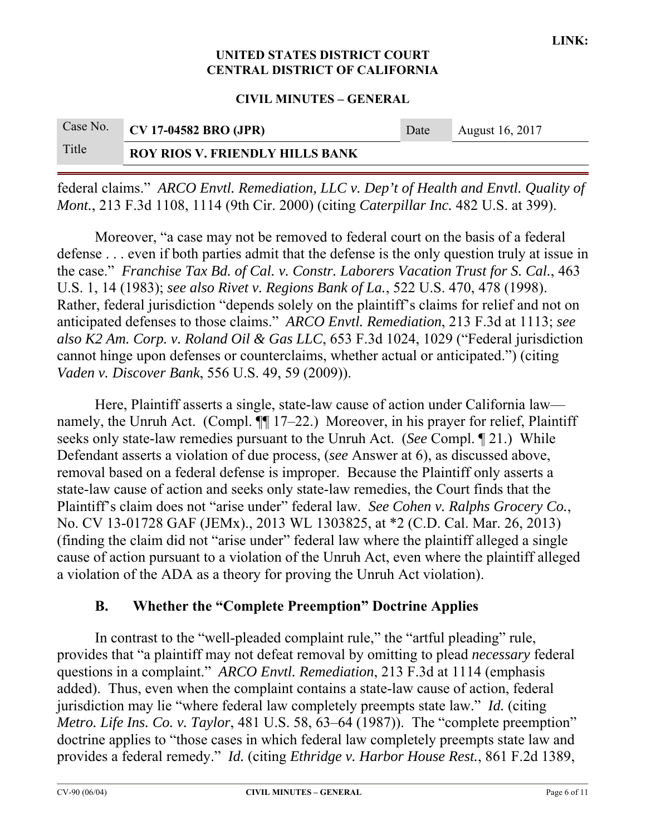**CIVIL MINUTES – GENERAL** 

|       | Case No. CV 17-04582 BRO (JPR)         | Date | August 16, 2017 |
|-------|----------------------------------------|------|-----------------|
| Title | <b>ROY RIOS V. FRIENDLY HILLS BANK</b> |      |                 |

federal claims." *ARCO Envtl. Remediation, LLC v. Dep't of Health and Envtl. Quality of Mont.*, 213 F.3d 1108, 1114 (9th Cir. 2000) (citing *Caterpillar Inc.* 482 U.S. at 399).

Moreover, "a case may not be removed to federal court on the basis of a federal defense . . . even if both parties admit that the defense is the only question truly at issue in the case." *Franchise Tax Bd. of Cal. v. Constr. Laborers Vacation Trust for S. Cal.*, 463 U.S. 1, 14 (1983); *see also Rivet v. Regions Bank of La.*, 522 U.S. 470, 478 (1998). Rather, federal jurisdiction "depends solely on the plaintiff's claims for relief and not on anticipated defenses to those claims." *ARCO Envtl. Remediation*, 213 F.3d at 1113; *see also K2 Am. Corp. v. Roland Oil & Gas LLC*, 653 F.3d 1024, 1029 ("Federal jurisdiction cannot hinge upon defenses or counterclaims, whether actual or anticipated.") (citing *Vaden v. Discover Bank*, 556 U.S. 49, 59 (2009)).

Here, Plaintiff asserts a single, state-law cause of action under California law namely, the Unruh Act. (Compl.  $\P$  17–22.) Moreover, in his prayer for relief, Plaintiff seeks only state-law remedies pursuant to the Unruh Act. (*See* Compl. ¶ 21.) While Defendant asserts a violation of due process, (*see* Answer at 6), as discussed above, removal based on a federal defense is improper. Because the Plaintiff only asserts a state-law cause of action and seeks only state-law remedies, the Court finds that the Plaintiff's claim does not "arise under" federal law. *See Cohen v. Ralphs Grocery Co.*, No. CV 13-01728 GAF (JEMx)., 2013 WL 1303825, at \*2 (C.D. Cal. Mar. 26, 2013) (finding the claim did not "arise under" federal law where the plaintiff alleged a single cause of action pursuant to a violation of the Unruh Act, even where the plaintiff alleged a violation of the ADA as a theory for proving the Unruh Act violation).

### **B. Whether the "Complete Preemption" Doctrine Applies**

In contrast to the "well-pleaded complaint rule," the "artful pleading" rule, provides that "a plaintiff may not defeat removal by omitting to plead *necessary* federal questions in a complaint." *ARCO Envtl. Remediation*, 213 F.3d at 1114 (emphasis added). Thus, even when the complaint contains a state-law cause of action, federal jurisdiction may lie "where federal law completely preempts state law." *Id.* (citing *Metro. Life Ins. Co. v. Taylor*, 481 U.S. 58, 63–64 (1987)). The "complete preemption" doctrine applies to "those cases in which federal law completely preempts state law and provides a federal remedy." *Id.* (citing *Ethridge v. Harbor House Rest.*, 861 F.2d 1389,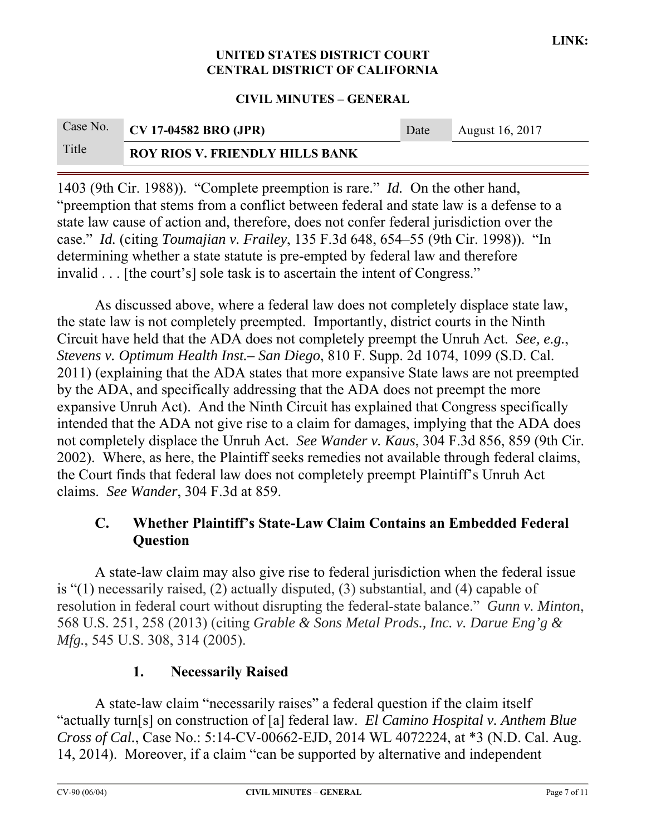### **CIVIL MINUTES – GENERAL**

|       | Case No. CV 17-04582 BRO (JPR)         | Date | August 16, 2017 |
|-------|----------------------------------------|------|-----------------|
| Title | <b>ROY RIOS V. FRIENDLY HILLS BANK</b> |      |                 |

1403 (9th Cir. 1988)). "Complete preemption is rare." *Id.* On the other hand, "preemption that stems from a conflict between federal and state law is a defense to a state law cause of action and, therefore, does not confer federal jurisdiction over the case." *Id.* (citing *Toumajian v. Frailey*, 135 F.3d 648, 654–55 (9th Cir. 1998)). "In determining whether a state statute is pre-empted by federal law and therefore invalid . . . [the court's] sole task is to ascertain the intent of Congress."

As discussed above, where a federal law does not completely displace state law, the state law is not completely preempted. Importantly, district courts in the Ninth Circuit have held that the ADA does not completely preempt the Unruh Act. *See, e.g.*, *Stevens v. Optimum Health Inst.– San Diego*, 810 F. Supp. 2d 1074, 1099 (S.D. Cal. 2011) (explaining that the ADA states that more expansive State laws are not preempted by the ADA, and specifically addressing that the ADA does not preempt the more expansive Unruh Act). And the Ninth Circuit has explained that Congress specifically intended that the ADA not give rise to a claim for damages, implying that the ADA does not completely displace the Unruh Act. *See Wander v. Kaus*, 304 F.3d 856, 859 (9th Cir. 2002). Where, as here, the Plaintiff seeks remedies not available through federal claims, the Court finds that federal law does not completely preempt Plaintiff's Unruh Act claims. *See Wander*, 304 F.3d at 859.

## **C. Whether Plaintiff's State-Law Claim Contains an Embedded Federal Question**

A state-law claim may also give rise to federal jurisdiction when the federal issue is "(1) necessarily raised, (2) actually disputed, (3) substantial, and (4) capable of resolution in federal court without disrupting the federal-state balance." *Gunn v. Minton*, 568 U.S. 251, 258 (2013) (citing *Grable & Sons Metal Prods., Inc. v. Darue Eng'g & Mfg.*, 545 U.S. 308, 314 (2005).

## **1. Necessarily Raised**

A state-law claim "necessarily raises" a federal question if the claim itself "actually turn[s] on construction of [a] federal law. *El Camino Hospital v. Anthem Blue Cross of Cal.*, Case No.: 5:14-CV-00662-EJD, 2014 WL 4072224, at \*3 (N.D. Cal. Aug. 14, 2014). Moreover, if a claim "can be supported by alternative and independent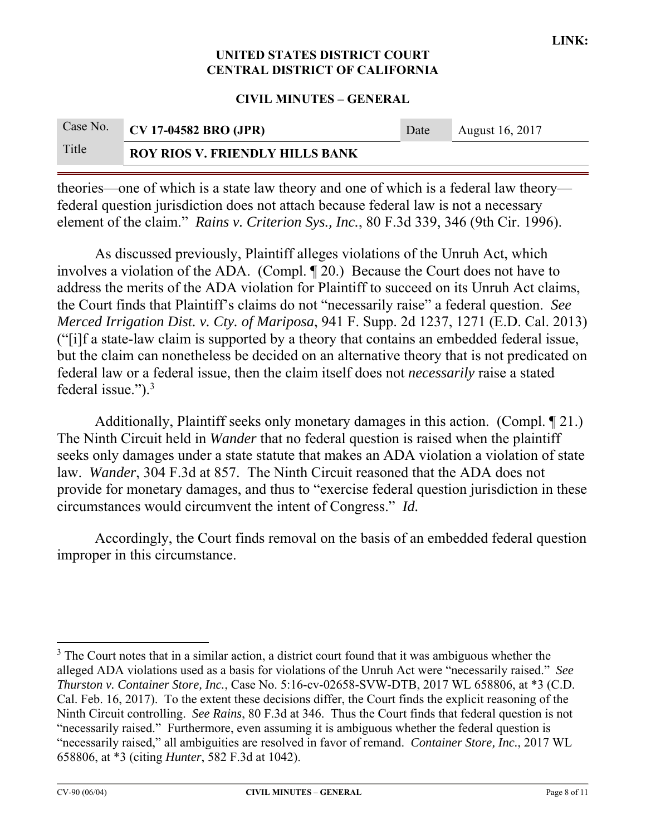#### **CIVIL MINUTES – GENERAL**

|       | Case No. CV 17-04582 BRO (JPR)         | Date | <b>August 16, 2017</b> |
|-------|----------------------------------------|------|------------------------|
| Title | <b>ROY RIOS V. FRIENDLY HILLS BANK</b> |      |                        |

theories—one of which is a state law theory and one of which is a federal law theory federal question jurisdiction does not attach because federal law is not a necessary element of the claim." *Rains v. Criterion Sys., Inc.*, 80 F.3d 339, 346 (9th Cir. 1996).

As discussed previously, Plaintiff alleges violations of the Unruh Act, which involves a violation of the ADA. (Compl. ¶ 20.) Because the Court does not have to address the merits of the ADA violation for Plaintiff to succeed on its Unruh Act claims, the Court finds that Plaintiff's claims do not "necessarily raise" a federal question. *See Merced Irrigation Dist. v. Cty. of Mariposa*, 941 F. Supp. 2d 1237, 1271 (E.D. Cal. 2013) ("[i]f a state-law claim is supported by a theory that contains an embedded federal issue, but the claim can nonetheless be decided on an alternative theory that is not predicated on federal law or a federal issue, then the claim itself does not *necessarily* raise a stated federal issue." $)$ .<sup>3</sup>

Additionally, Plaintiff seeks only monetary damages in this action. (Compl. ¶ 21.) The Ninth Circuit held in *Wander* that no federal question is raised when the plaintiff seeks only damages under a state statute that makes an ADA violation a violation of state law. *Wander*, 304 F.3d at 857. The Ninth Circuit reasoned that the ADA does not provide for monetary damages, and thus to "exercise federal question jurisdiction in these circumstances would circumvent the intent of Congress." *Id.*

Accordingly, the Court finds removal on the basis of an embedded federal question improper in this circumstance.

<sup>&</sup>lt;u> 1989 - Johann Stein, fransk politik (d. 1989)</u>  $3$  The Court notes that in a similar action, a district court found that it was ambiguous whether the alleged ADA violations used as a basis for violations of the Unruh Act were "necessarily raised." *See Thurston v. Container Store, Inc.*, Case No. 5:16-cv-02658-SVW-DTB, 2017 WL 658806, at \*3 (C.D. Cal. Feb. 16, 2017). To the extent these decisions differ, the Court finds the explicit reasoning of the Ninth Circuit controlling. *See Rains*, 80 F.3d at 346. Thus the Court finds that federal question is not "necessarily raised." Furthermore, even assuming it is ambiguous whether the federal question is "necessarily raised," all ambiguities are resolved in favor of remand. *Container Store, Inc.*, 2017 WL 658806, at \*3 (citing *Hunter*, 582 F.3d at 1042).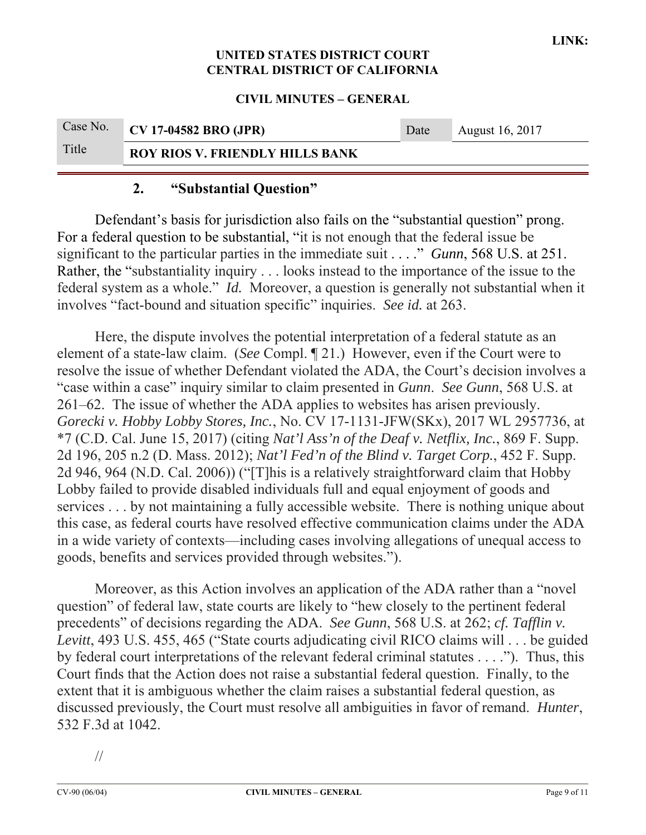#### **CIVIL MINUTES – GENERAL**

|       | Case No. CV 17-04582 BRO (JPR)         | Date | August 16, 2017 |
|-------|----------------------------------------|------|-----------------|
| Title | <b>ROY RIOS V. FRIENDLY HILLS BANK</b> |      |                 |

## **2. "Substantial Question"**

Defendant's basis for jurisdiction also fails on the "substantial question" prong. For a federal question to be substantial, "it is not enough that the federal issue be significant to the particular parties in the immediate suit . . . ." *Gunn*, 568 U.S. at 251. Rather, the "substantiality inquiry . . . looks instead to the importance of the issue to the federal system as a whole." *Id.* Moreover, a question is generally not substantial when it involves "fact-bound and situation specific" inquiries. *See id.* at 263.

Here, the dispute involves the potential interpretation of a federal statute as an element of a state-law claim. (*See* Compl. ¶ 21.) However, even if the Court were to resolve the issue of whether Defendant violated the ADA, the Court's decision involves a "case within a case" inquiry similar to claim presented in *Gunn*. *See Gunn*, 568 U.S. at 261–62. The issue of whether the ADA applies to websites has arisen previously. *Gorecki v. Hobby Lobby Stores, Inc.*, No. CV 17-1131-JFW(SKx), 2017 WL 2957736, at \*7 (C.D. Cal. June 15, 2017) (citing *Nat'l Ass'n of the Deaf v. Netflix, Inc.*, 869 F. Supp. 2d 196, 205 n.2 (D. Mass. 2012); *Nat'l Fed'n of the Blind v. Target Corp.*, 452 F. Supp. 2d 946, 964 (N.D. Cal. 2006)) ("[T]his is a relatively straightforward claim that Hobby Lobby failed to provide disabled individuals full and equal enjoyment of goods and services . . . by not maintaining a fully accessible website. There is nothing unique about this case, as federal courts have resolved effective communication claims under the ADA in a wide variety of contexts—including cases involving allegations of unequal access to goods, benefits and services provided through websites.").

Moreover, as this Action involves an application of the ADA rather than a "novel question" of federal law, state courts are likely to "hew closely to the pertinent federal precedents" of decisions regarding the ADA. *See Gunn*, 568 U.S. at 262; *cf. Tafflin v. Levitt*, 493 U.S. 455, 465 ("State courts adjudicating civil RICO claims will . . . be guided by federal court interpretations of the relevant federal criminal statutes . . . ."). Thus, this Court finds that the Action does not raise a substantial federal question. Finally, to the extent that it is ambiguous whether the claim raises a substantial federal question, as discussed previously, the Court must resolve all ambiguities in favor of remand. *Hunter*, 532 F.3d at 1042.

//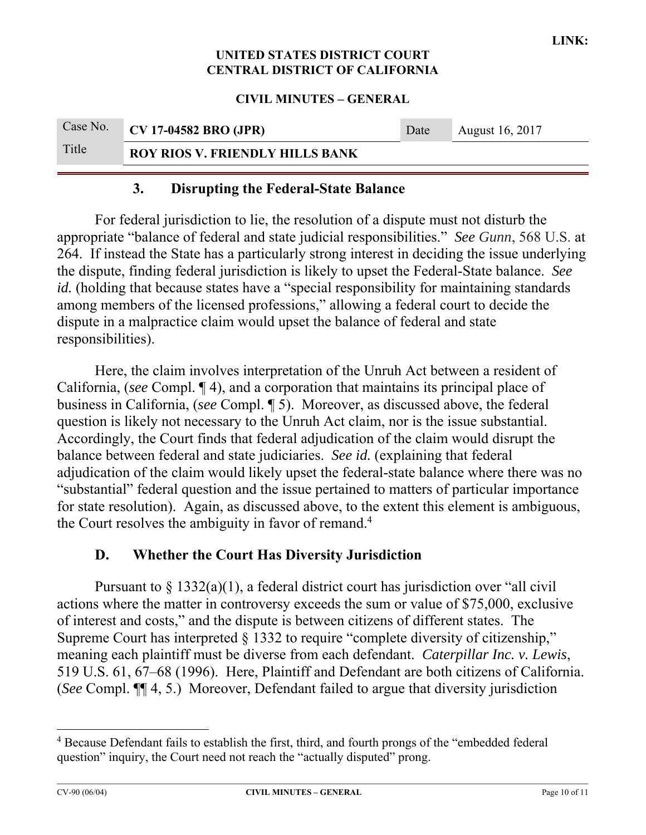**CIVIL MINUTES – GENERAL** 

|       | Case No. CV 17-04582 BRO (JPR)         | Date | August 16, 2017 |
|-------|----------------------------------------|------|-----------------|
| Title | <b>ROY RIOS V. FRIENDLY HILLS BANK</b> |      |                 |

## **3. Disrupting the Federal-State Balance**

For federal jurisdiction to lie, the resolution of a dispute must not disturb the appropriate "balance of federal and state judicial responsibilities." *See Gunn*, 568 U.S. at 264. If instead the State has a particularly strong interest in deciding the issue underlying the dispute, finding federal jurisdiction is likely to upset the Federal-State balance. *See id.* (holding that because states have a "special responsibility for maintaining standards among members of the licensed professions," allowing a federal court to decide the dispute in a malpractice claim would upset the balance of federal and state responsibilities).

Here, the claim involves interpretation of the Unruh Act between a resident of California, (*see* Compl. ¶ 4), and a corporation that maintains its principal place of business in California, (*see* Compl. ¶ 5). Moreover, as discussed above, the federal question is likely not necessary to the Unruh Act claim, nor is the issue substantial. Accordingly, the Court finds that federal adjudication of the claim would disrupt the balance between federal and state judiciaries. *See id.* (explaining that federal adjudication of the claim would likely upset the federal-state balance where there was no "substantial" federal question and the issue pertained to matters of particular importance for state resolution). Again, as discussed above, to the extent this element is ambiguous, the Court resolves the ambiguity in favor of remand.<sup>4</sup>

## **D. Whether the Court Has Diversity Jurisdiction**

Pursuant to  $\S 1332(a)(1)$ , a federal district court has jurisdiction over "all civil" actions where the matter in controversy exceeds the sum or value of \$75,000, exclusive of interest and costs," and the dispute is between citizens of different states. The Supreme Court has interpreted § 1332 to require "complete diversity of citizenship," meaning each plaintiff must be diverse from each defendant. *Caterpillar Inc. v. Lewis*, 519 U.S. 61, 67–68 (1996). Here, Plaintiff and Defendant are both citizens of California. (*See* Compl. ¶¶ 4, 5.) Moreover, Defendant failed to argue that diversity jurisdiction

<sup>&</sup>lt;sup>4</sup> Because Defendant fails to establish the first, third, and fourth prongs of the "embedded federal question" inquiry, the Court need not reach the "actually disputed" prong.